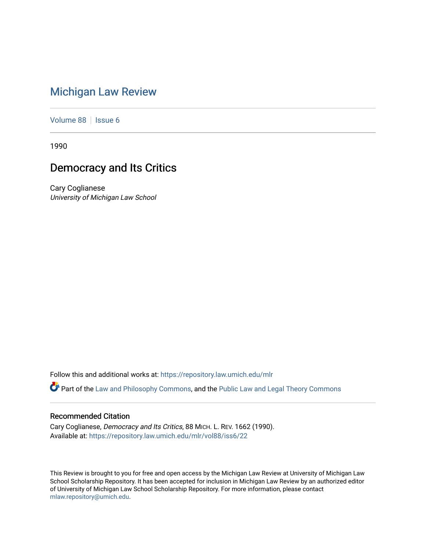## [Michigan Law Review](https://repository.law.umich.edu/mlr)

[Volume 88](https://repository.law.umich.edu/mlr/vol88) | [Issue 6](https://repository.law.umich.edu/mlr/vol88/iss6)

1990

## Democracy and Its Critics

Cary Coglianese University of Michigan Law School

Follow this and additional works at: [https://repository.law.umich.edu/mlr](https://repository.law.umich.edu/mlr?utm_source=repository.law.umich.edu%2Fmlr%2Fvol88%2Fiss6%2F22&utm_medium=PDF&utm_campaign=PDFCoverPages) 

Part of the [Law and Philosophy Commons,](http://network.bepress.com/hgg/discipline/1299?utm_source=repository.law.umich.edu%2Fmlr%2Fvol88%2Fiss6%2F22&utm_medium=PDF&utm_campaign=PDFCoverPages) and the [Public Law and Legal Theory Commons](http://network.bepress.com/hgg/discipline/871?utm_source=repository.law.umich.edu%2Fmlr%2Fvol88%2Fiss6%2F22&utm_medium=PDF&utm_campaign=PDFCoverPages) 

## Recommended Citation

Cary Coglianese, Democracy and Its Critics, 88 MICH. L. REV. 1662 (1990). Available at: [https://repository.law.umich.edu/mlr/vol88/iss6/22](https://repository.law.umich.edu/mlr/vol88/iss6/22?utm_source=repository.law.umich.edu%2Fmlr%2Fvol88%2Fiss6%2F22&utm_medium=PDF&utm_campaign=PDFCoverPages) 

This Review is brought to you for free and open access by the Michigan Law Review at University of Michigan Law School Scholarship Repository. It has been accepted for inclusion in Michigan Law Review by an authorized editor of University of Michigan Law School Scholarship Repository. For more information, please contact [mlaw.repository@umich.edu.](mailto:mlaw.repository@umich.edu)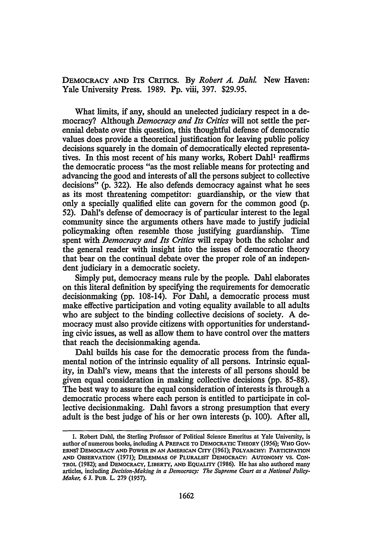DEMOCRACY AND ITS CRITICS. By *Robert A. Dahl.* New Haven: Yale University Press. 1989. Pp. viii, 397. \$29.95.

What limits, if any, should an unelected judiciary respect in a democracy? Although *Democracy and Its Critics* will not settle the perennial debate over this question, this thoughtful defense of democratic values does provide a theoretical justification for leaving public policy decisions squarely in the domain of democratically elected representatives. In this most recent of his many works, Robert Dahl<sup>1</sup> reaffirms the democratic process "as the most reliable means for protecting and advancing the good and interests of all the persons subject to collective decisions" (p. 322). He also defends democracy against what he sees as its most threatening competitor: guardianship, or the view that only a specially qualified elite can govern for the common good (p. 52). Dahl's defense of democracy is of particular interest to the legal community since the arguments others have made to justify judicial policymaking often resemble those justifying guardianship. Time spent with *Democracy and Its Critics* will repay both the scholar and the general reader with insight into the issues of democratic theory that bear on the continual debate over the proper role of an independent judiciary in a democratic society.

Simply put, democracy means rule by the people. Dahl elaborates on this literal definition by specifying the requirements for democratic decisionmaking (pp. 108-14). For Dahl, a democratic process must make effective participation and voting equality available to all adults who are subject to the binding collective decisions of society. A democracy must also provide citizens with opportunities for understanding civic issues, as well as allow them to have control over the matters that reach the decisionmaking agenda.

Dahl builds his case for the democratic process from the fundamental notion of the intrinsic equality of all persons. Intrinsic equality, in Dahl's view, means that the interests of all persons should be given equal consideration in making collective decisions (pp. 85-88). The best way to assure the equal consideration of interests is through a democratic process where each person is entitled to participate in collective decisionmaking. Dahl favors a strong presumption that every adult is the best judge of his or her own interests (p. 100). After all,

<sup>1.</sup> Robert Dahl, the Sterling Professor of Political Science Emeritus at Yale University, is author of numerous books, including A PREFACE TO DEMOCRATIC THEORY (1956); WHO GOV-ERNS? DEMOCRACY AND POWER IN AN AMERICAN CITY (1961); POLY ARCHY: PARTICIPATION AND OBSERVATION (1971); DILEMMAS OF PLURALIST DEMOCRACY: AUTONOMY VS. CON· TROL (1982); and DEMOCRACY, LIBERTY, AND EQUALITY (1986). He has also authored many articles, including *Decision-Making in a Democracy: The Supreme Court as a National Policy-Maker,* 6 J. PUB. L. 279 (1957).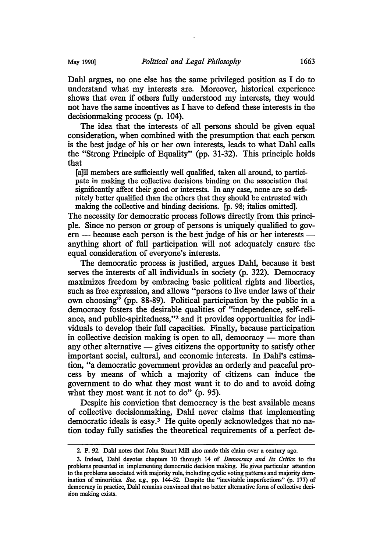Dahl argues, no one else has the same privileged position as I do to understand what my interests are. Moreover, historical experience shows that even if others fully understood my interests, they would not have the same incentives as I have to defend these interests in the decisionmaking process (p. 104).

The idea that the interests of all persons should be given equal consideration, when combined with the presumption that each person is the best judge of his or her own interests, leads to what Dahl calls the "Strong Principle of Equality" (pp. 31-32). This principle holds that

[a]ll members are sufficiently well qualified, taken all around, to participate in making the collective decisions binding on the association that significantly affect their good or interests. In any case, none are so definitely better qualified than the others that they should be entrusted with making the collective and binding decisions. [p. 98; italics omitted].

The necessity for democratic process follows directly from this principle. Since no person or group of persons is uniquely qualified to gov $ern$ — because each person is the best judge of his or her interests anything short of full participation will not adequately ensure the equal consideration of everyone's interests.

The democratic process is justified, argues Dahl, because it best serves the interests of all individuals in society (p. 322). Democracy maximizes freedom by embracing basic political rights and liberties, such as free expression, and allows "persons to live under laws of their own choosing" (pp. 88-89). Political participation by the public in a democracy fosters the desirable qualities of "independence, self-reliance, and public-spiritedness,"2 and it provides opportunities for individuals to develop their full capacities. Finally, because participation in collective decision making is open to all, democracy  $-$  more than any other alternative  $-$  gives citizens the opportunity to satisfy other important social, cultural, and economic interests. In Dahl's estimation, "a democratic government provides an orderly and peaceful process by means of which a majority of citizens can induce the government to do what they most want it to do and to avoid doing what they most want it not to do" (p. 95).

Despite his conviction that democracy is the best available means of collective decisionmaking, Dahl never claims that implementing democratic ideals is easy.3 He quite openly acknowledges that no nation today fully satisfies the theoretical requirements of a perfect de-

<sup>2.</sup> P. 92. Dahl notes that John Stuart Mill also made this claim over a century ago.

<sup>3.</sup> Indeed, Dahl devotes chapters 10 through 14 of *Democracy and Its Critics* to the problems presented in implementing democratic decision making. He gives particular attention to the problems associated with majority rule, including cyclic voting patterns and majority domination of minorities. *See, e.g.,* pp. 144-52. Despite the "inevitable imperfections" (p. 177) of democracy in practice, Dahl remains convinced that no better alternative form of collective decision making exists.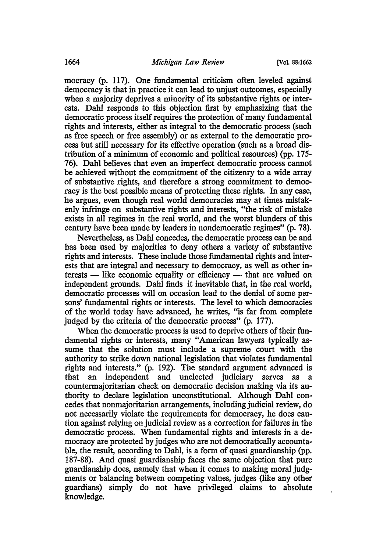mocracy (p. 117). One fundamental criticism often leveled against democracy is that in practice it can lead to unjust outcomes, especially when a majority deprives a minority of its substantive rights or interests. Dahl responds to this objection first by emphasizing that the democratic process itself requires the protection of many fundamental rights and interests, either as integral to the democratic process (such as free speech or free assembly) or as external to the democratic process but still necessary for its effective operation (such as a broad distribution of a minimum of economic and political resources) (pp. 175- 76). Dahl believes that even an imperfect democratic process cannot be achieved without the commitment of the citizenry to a wide array of substantive rights, and therefore a strong commitment to democracy is the best possible means of protecting these rights. In any case, he argues, even though real world democracies may at times mistakenly infringe on substantive rights and interests, "the risk of mistake exists in all regimes in the real world, and the worst blunders of this century have been made by leaders in nondemocratic regimes" (p. 78).

Nevertheless, as Dahl concedes, the democratic process can be and has been used by majorities to deny others a variety of substantive rights and interests. These include those fundamental rights and interests that are integral and necessary to democracy, as well as other interests  $-$  like economic equality or efficiency  $-$  that are valued on independent grounds. Dahl finds it inevitable that, in the real world, democratic processes will on occasion lead to the denial of some persons' fundamental rights or interests. The level to which democracies of the world today have advanced, he writes, "is far from complete judged by the criteria of the democratic process" (p. 177).

When the democratic process is used to deprive others of their fundamental rights or interests, many "American lawyers typically assume that the solution must include a supreme court with the authority to strike down national legislation that violates fundamental rights and interests." (p. 192). The standard argument advanced is that an independent and unelected judiciary serves as a countermajoritarian check on democratic decision making via its authority to declare legislation unconstitutional. Although Dahl concedes that nonmajoritarian arrangements, including judicial review, do not necessarily violate the requirements for democracy, he does caution against relying on judicial review as a correction for failures in the democratic process. When fundamental rights and interests in a democracy are protected by judges who are not democratically accountable, the result, according to Dahl, is a form of quasi guardianship (pp. 187-88). And quasi guardianship faces the same objection that pure guardianship does, namely that when it comes to making moral judgments or balancing between competing values, judges (like any other guardians) simply do not have privileged claims to absolute knowledge.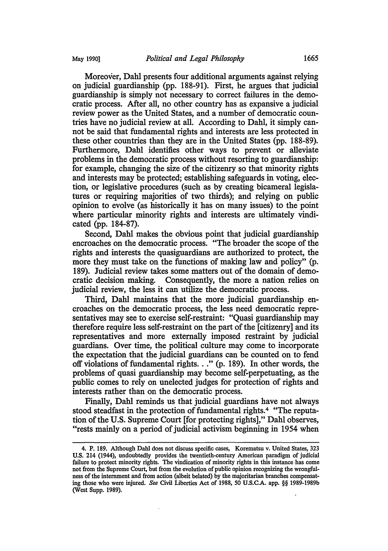Moreover, Dahl presents four additional arguments against relying on judicial guardianship (pp. 188-91). First, he argues that judicial guardianship is simply not necessary to correct failures in the democratic process. After all, no other country has as expansive a judicial review power as the United States, and a number of democratic countries have no judicial review at all. According to Dahl, it simply cannot be said that fundamental rights and interests are less protected in these other countries than they are in the United States (pp. 188-89). Furthermore, Dahl identifies other ways to prevent or alleviate problems in the democratic process without resorting to guardianship: for example, changing the size of the citizenry so that minority rights and interests may be protected; establishing safeguards in voting, election, or legislative procedures (such as by creating bicameral legislatures or requiring majorities of two thirds); and relying on public opinion to evolve (as historically it has on many issues) to the point where particular minority rights and interests are ultimately vindicated (pp. 184-87).

Second, Dahl makes the obvious point that judicial guardianship encroaches on the democratic process. "The broader the scope of the rights and interests the quasiguardians are authorized to protect, the more they must take on the functions of making law and policy" (p. 189). Judicial review takes some matters out of the domain of democratic decision making. Consequently, the more a nation relies on judicial review, the less it can utilize the democratic process.

Third, Dahl maintains that the more judicial guardianship encroaches on the democratic process, the less need democratic representatives may see to exercise self-restraint: "Quasi guardianship may therefore require less self-restraint on the part of the [citizenry] and its representatives and more externally imposed restraint by judicial guardians. Over time, the political culture may come to incorporate the expectation that the judicial guardians can be counted on to fend off violations of fundamental rights ... " (p. 189). In other words, the problems of quasi guardianship may become self-perpetuating, as the public comes to rely on unelected judges for protection of rights and interests rather than on the democratic process.

Finally, Dahl reminds us that judicial guardians have not always stood steadfast in the protection of fundamental rights.4 "The reputation of the U.S. Supreme Court [for protecting rights]," Dahl observes, "rests mainly on a period of judicial activism beginning in 1954 when

<sup>4.</sup> P. 189. Although Dahl does not discuss specific cases, Korematsu v. United States, 323 U.S. 214 (1944), undoubtedly provides the twentieth-century American paradigm of judicial failure to protect minority rights. The vindication of minority rights in this instance has come not from the Supreme Court, but from the evolution of public opinion recognizing the wrongfulness of the internment and from action (albeit belated) by the majoritarian branches compensating those who were injured. *See* Civil Liberties Act of 1988, 50 U.S.C.A. app. §§ 1989-1989b (West Supp. 1989).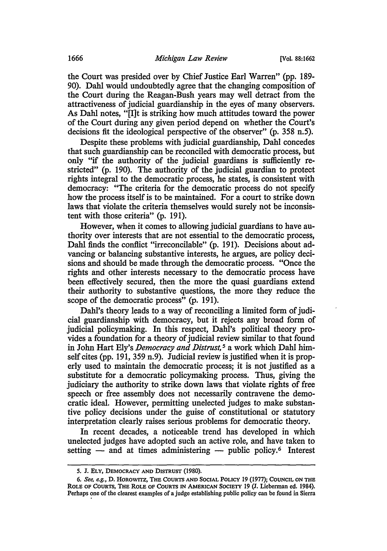the Court was presided over by Chief Justice Earl Warren" (pp. 189- 90). Dahl would undoubtedly agree that the changing composition of the Court during the Reagan-Bush years may well detract from the attractiveness of judicial guardianship in the eyes of many observers. As Dahl notes, "[I]t is striking how much attitudes toward the power of the Court during any given period depend on whether the Court's decisions fit the ideological perspective of the observer" (p. 358 n.5).

Despite these problems with judicial guardianship, Dahl concedes that such guardianship can be reconciled with democratic process, but only "if the authority of the judicial guardians is sufficiently restricted" (p. 190). The authority of the judicial guardian to protect rights integral to the democratic process, he states, is consistent with democracy: "The criteria for the democratic process do not specify how the process itself is to be maintained. For a court to strike down laws that violate the criteria themselves would surely not be inconsistent with those criteria" (p. 191).

However, when it comes to allowing judicial guardians to have authority over interests that are not essential to the democratic process, Dahl finds the conflict "irreconcilable" (p. 191). Decisions about advancing or balancing substantive interests, he argues, are policy decisions and should be made through the democratic process. "Once the rights and other interests necessary to the democratic process have been effectively secured, then the more the quasi guardians extend their authority to substantive questions, the more they reduce the scope of the democratic process" (p. 191).

Dahl's theory leads to a way of reconciling a limited form of judicial guardianship with democracy, but it rejects any broad form of judicial policymaking. In this respect, Dahl's political theory provides a foundation for a theory of judicial review similar to that found in John Hart Ely's *Democracy and Distrust,* 5 a work which Dahl himself cites (pp. 191, 359 n.9). Judicial review is justified when it is properly used to maintain the democratic process; it is not justified as a substitute for a democratic policymaking process. Thus, giving the judiciary the authority to strike down laws that violate rights of free speech or free assembly does not necessarily contravene the democratic ideal. However, permitting unelected judges to make substantive policy decisions under the guise of constitutional or statutory interpretation clearly raises serious problems for democratic theory.

In recent decades, a noticeable trend has developed in which unelected judges have adopted such an active role, and have taken to setting  $-$  and at times administering  $-$  public policy.<sup>6</sup> Interest

<sup>5.</sup> J. ELY, DEMOCRACY AND DISTRUST (1980).

<sup>6.</sup> *See, e.g.,* D. HOROWITZ, THE COURTS AND SOCIAL POLICY 19 (1977); COUNCIL ON THE ROLE OF CoURTS, THE ROLE OF CoURTS IN AMERICAN SOCIETY 19 (J. Lieberman ed. 1984). Perhaps one of the clearest examples of a judge establishing public policy can be found in Sierra